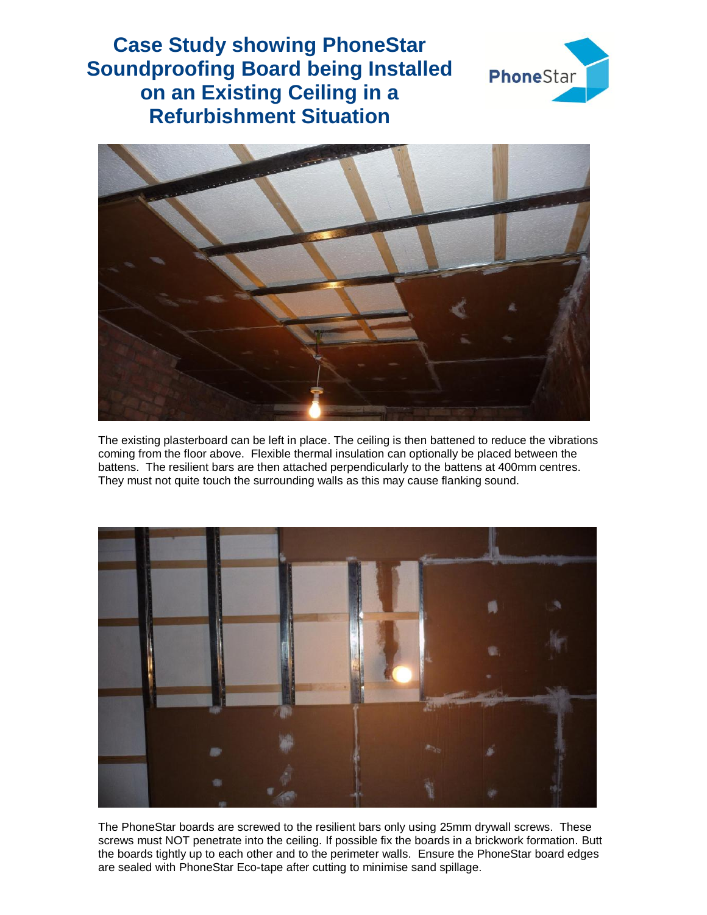## **Case Study showing PhoneStar Soundproofing Board being Installed on an Existing Ceiling in a Refurbishment Situation**





The existing plasterboard can be left in place. The ceiling is then battened to reduce the vibrations coming from the floor above. Flexible thermal insulation can optionally be placed between the battens. The resilient bars are then attached perpendicularly to the battens at 400mm centres. They must not quite touch the surrounding walls as this may cause flanking sound.



The PhoneStar boards are screwed to the resilient bars only using 25mm drywall screws. These screws must NOT penetrate into the ceiling. If possible fix the boards in a brickwork formation. Butt the boards tightly up to each other and to the perimeter walls. Ensure the PhoneStar board edges are sealed with PhoneStar Eco-tape after cutting to minimise sand spillage.